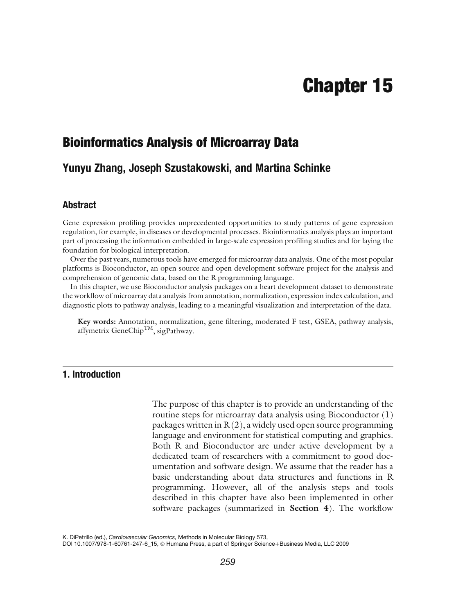# Chapter 15

# Bioinformatics Analysis of Microarray Data

# Yunyu Zhang, Joseph Szustakowski, and Martina Schinke

## Abstract

Gene expression profiling provides unprecedented opportunities to study patterns of gene expression regulation, for example, in diseases or developmental processes. Bioinformatics analysis plays an important part of processing the information embedded in large-scale expression profiling studies and for laying the foundation for biological interpretation.

Over the past years, numerous tools have emerged for microarray data analysis. One of the most popular platforms is Bioconductor, an open source and open development software project for the analysis and comprehension of genomic data, based on the R programming language.

In this chapter, we use Bioconductor analysis packages on a heart development dataset to demonstrate the workflow of microarray data analysis from annotation, normalization, expression index calculation, and diagnostic plots to pathway analysis, leading to a meaningful visualization and interpretation of the data.

Key words: Annotation, normalization, gene filtering, moderated F-test, GSEA, pathway analysis, affymetrix GeneChip<sup>TM</sup>, sigPathway.

## 1. Introduction

The purpose of this chapter is to provide an understanding of the routine steps for microarray data analysis using Bioconductor [\(1](#page-24-0)) packages written in  $R(2)$  $R(2)$  $R(2)$ , a widely used open source programming language and environment for statistical computing and graphics. Both R and Bioconductor are under active development by a dedicated team of researchers with a commitment to good documentation and software design. We assume that the reader has a basic understanding about data structures and functions in R programming. However, all of the analysis steps and tools described in this chapter have also been implemented in other software packages (summarized in Section [4](#page-22-0)). The workflow

K. DiPetrillo (ed.), Cardiovascular Genomics, Methods in Molecular Biology 573,

DOI 10.1007/978-1-60761-247-6\_15, @ Humana Press, a part of Springer Science+Business Media, LLC 2009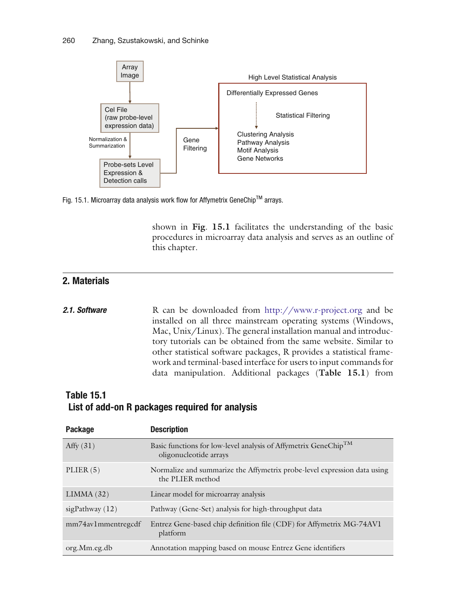

Fig. 15.1. Microarray data analysis work flow for Affymetrix GeneChip<sup>TM</sup> arrays.

shown in Fig. [15.1](#page-1-0) facilitates the understanding of the basic procedures in microarray data analysis and serves as an outline of this chapter.

## 2. Materials

```
2.1. Software R can be downloaded from http://www.r-project.org and be
                      installed on all three mainstream operating systems (Windows,
                      Mac, Unix/Linux). The general installation manual and introduc-
                      tory tutorials can be obtained from the same website. Similar to
                      other statistical software packages, R provides a statistical frame-
                      work and terminal-based interface for users to input commands for
                      data manipulation. Additional packages (Table 15.1) from
```
# Table 15.1 List of add-on R packages required for analysis

<span id="page-1-0"></span>

| Package            | <b>Description</b>                                                                                    |
|--------------------|-------------------------------------------------------------------------------------------------------|
| Affy $(31)$        | Basic functions for low-level analysis of Affymetrix GeneChip <sup>TM</sup><br>oligonucleotide arrays |
| PLIER(5)           | Normalize and summarize the Affymetrix probe-level expression data using<br>the PLIER method          |
| LIMMA(32)          | Linear model for microarray analysis                                                                  |
| sigPathway $(12)$  | Pathway (Gene-Set) analysis for high-throughput data                                                  |
| mm74av1mmentregcdf | Entrez Gene-based chip definition file (CDF) for Affymetrix MG-74AV1<br>platform                      |
| org.Mm.eg.db       | Annotation mapping based on mouse Entrez Gene identifiers                                             |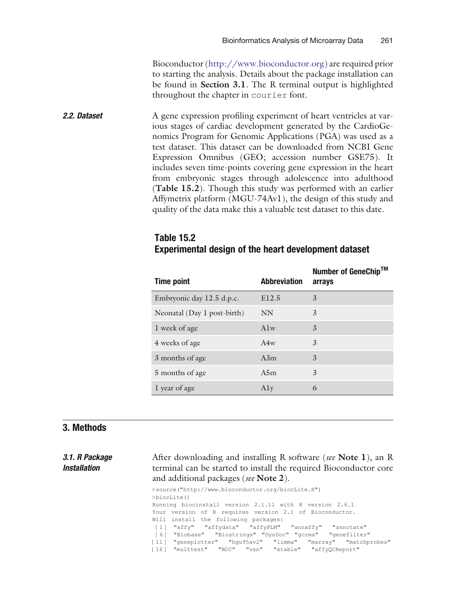Bioconductor (http://www.bioconductor.org) are required prior to starting the analysis. Details about the package installation can be found in Section [3.1](#page-2-0). The R terminal output is highlighted throughout the chapter in courier font.

**2.2. Dataset** A gene expression profiling experiment of heart ventricles at various stages of cardiac development generated by the CardioGenomics Program for Genomic Applications (PGA) was used as a test dataset. This dataset can be downloaded from NCBI Gene Expression Omnibus (GEO; accession number GSE75). It includes seven time-points covering gene expression in the heart from embryonic stages through adolescence into adulthood (Table [15.2](#page-2-0)). Though this study was performed with an earlier Affymetrix platform (MGU-74Av1), the design of this study and quality of the data make this a valuable test dataset to this date.

# Table 15.2 Experimental design of the heart development dataset

| <b>Time point</b>           | <b>Abbreviation</b> | Number of GeneChip™<br>arrays |
|-----------------------------|---------------------|-------------------------------|
| Embryonic day 12.5 d.p.c.   | E12.5               | 3                             |
| Neonatal (Day 1 post-birth) | <b>NN</b>           | 3                             |
| 1 week of age               | $A$ lw              | 3                             |
| 4 weeks of age              | A4w                 | 3                             |
| 3 months of age             | A3m                 | 3                             |
| 5 months of age             | A5m                 | 3                             |
| 1 year of age               | Aly                 | 6                             |

## 3. Methods

<span id="page-2-0"></span>Installation

3.1. R Package After downloading and installing R software (see Note 1), an R terminal can be started to install the required Bioconductor core and additional packages (see Note 2). >source("http://www.bioconductor.org/biocLite.R") >biocLite() Running biocinstall version 2.1.11 with R version 2.6.1 Your version of R requires version 2.1 of Bioconductor. Will install the following packages: [1 ] "affy" "affydata" "affyPLM" "annaffy" "annotate" [6 ] "Biobase" "Biostrings" "DynDoc" "gcrma" "genefilter" [11 ] "geneplotter" "hgu95av2" "limma" "marray" "matchprobes"

[16 ] "multtest" "ROC" "vsn" "xtable" "affyQCReport"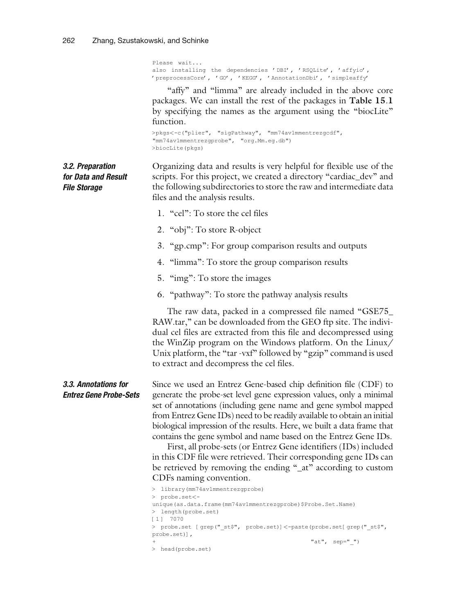Please wait... also installing the dependencies 'DBI', 'RSQLite', 'affyio', 'preprocessCore', 'GO', 'KEGG', 'AnnotationDbi', 'simpleaffy'

"affy" and "limma" are already included in the above core packages. We can install the rest of the packages in Table [15](#page-1-0).1 by specifying the names as the argument using the ''biocLite'' function.

```
>pkgs<-c("plier", "sigPathway", "mm74av1mmentrezgcdf",
"mm74av1mmentrezgprobe", "org.Mm.eg.db")
>biocLite(pkgs)
```
for Data and Result Organizing data and results is very helpful for flexible use of the scripts. For this project, we created a directory "cardiac\_dev" and the following subdirectories to store the raw and intermediate data files and the analysis results.

- 1. "cel": To store the cel files
- 2. "obj": To store R-object
- 3. ''gp.cmp'': For group comparison results and outputs
- 4. "limma": To store the group comparison results
- 5. "img": To store the images
- 6. ''pathway'': To store the pathway analysis results

The raw data, packed in a compressed file named ''GSE75\_ RAW.tar," can be downloaded from the GEO ftp site. The individual cel files are extracted from this file and decompressed using the WinZip program on the Windows platform. On the Linux/ Unix platform, the "tar -vxf" followed by "gzip" command is used to extract and decompress the cel files.

Since we used an Entrez Gene-based chip definition file (CDF) to generate the probe-set level gene expression values, only a minimal set of annotations (including gene name and gene symbol mapped from Entrez Gene IDs) need to be readily available to obtain an initial biological impression of the results. Here, we built a data frame that contains the gene symbol and name based on the Entrez Gene IDs.

> First, all probe-sets (or Entrez Gene identifiers (IDs) included in this CDF file were retrieved. Their corresponding gene IDs can be retrieved by removing the ending "\_at" according to custom CDFs naming convention.

```
> library(mm74av1mmentrezgprobe)
> probe.set<-
unique(as.data.frame(mm74av1mmentrezgprobe)$Probe.Set.Name)
> length(probe.set)
[1 ] 7070
> probe.set [grep(" st$", probe.set)]<-paste(probe.set[grep(" st$",
probe.set)],
                                             "at", sep="")> head(probe.set)
```
3.2. Preparation

File Storage

3.3. Annotations for Entrez Gene Probe-Sets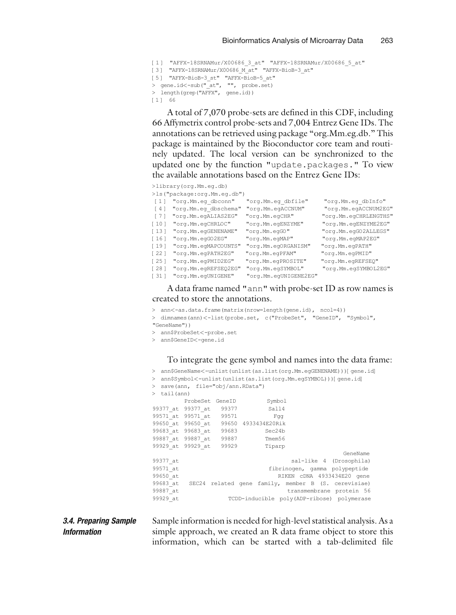```
[1] "AFFX-18SRNAMur/X00686 3 at" "AFFX-18SRNAMur/X00686 5 at"
[3 ] "AFFX-18SRNAMur/X00686_M_at" "AFFX-BioB-3_at"
[5 ] "AFFX-BioB-3_st" "AFFX-BioB-5_at"
> gene.id<-sub("_at", "", probe.set)
> length(grep("AFFX", gene.id))
[1 ] 66
```
A total of 7,070 probe-sets are defined in this CDF, including 66 Affymetrix control probe-sets and 7,004 Entrez Gene IDs. The annotations can be retrieved using package ''org.Mm.eg.db.'' This package is maintained by the Bioconductor core team and routinely updated. The local version can be synchronized to the updated one by the function "update.packages." To view the available annotations based on the Entrez Gene IDs:

>library(org.Mm.eg.db)

|                   | >ls("package:org.Mm.eg.db") |                       |                       |
|-------------------|-----------------------------|-----------------------|-----------------------|
| $[1]$             | "org.Mm.eg dbconn"          | "org.Mm.eg dbfile"    | "org.Mm.eg dbInfo"    |
| $\lceil 4 \rceil$ | "org.Mm.eg dbschema"        | "org.Mm.egACCNUM"     | "org.Mm.egACCNUM2EG"  |
| [7]               | "org.Mm.egALIAS2EG"         | "org.Mm.egCHR"        | "org.Mm.egCHRLENGTHS" |
| $[10]$            | "org.Mm.egCHRLOC"           | "org.Mm.egENZYME"     | "org.Mm.egENZYME2EG"  |
| [13]              | "org.Mm.egGENENAME"         | "org.Mm.egGO"         | "org.Mm.egGO2ALLEGS"  |
| $[16]$            | "org.Mm.egGO2EG"            | "org.Mm.egMAP"        | "org.Mm.egMAP2EG"     |
| $[19]$            | "org.Mm.egMAPCOUNTS"        | "org.Mm.egORGANISM"   | "org.Mm.egPATH"       |
| $[22]$            | "org.Mm.egPATH2EG"          | "org.Mm.egPFAM"       | "org.Mm.egPMID"       |
| $[25]$            | "org.Mm.egPMID2EG"          | "org.Mm.egPROSITE"    | "org.Mm.egREFSEQ"     |
| $[28]$            | "org.Mm.egREFSEQ2EG"        | "org.Mm.egSYMBOL"     | "org.Mm.egSYMBOL2EG"  |
| [31]              | "org.Mm.egUNIGENE"          | "org.Mm.eqUNIGENE2EG" |                       |

## A data frame named "ann" with probe-set ID as row names is created to store the annotations.

- > ann<-as.data.frame(matrix(nrow=length(gene.id), ncol=4))
- > dimnames(ann)<-list(probe.set, c("ProbeSet", "GeneID", "Symbol", "GeneName"))
- > ann\$ProbeSet<-probe.set
- > ann\$GeneID<-gene.id

#### To integrate the gene symbol and names into the data frame:

- > ann\$GeneName<-unlist(unlist(as.list(org.Mm.egGENENAME)))[gene.id]
- > ann\$Symbol<-unlist(unlist(as.list(org.Mm.egSYMBOL)))[gene.id]
- > save(ann, file="obj/ann.RData")
- 

|          | $>$ tail (ann)          |  |                                       |                                                              |                         |  |  |
|----------|-------------------------|--|---------------------------------------|--------------------------------------------------------------|-------------------------|--|--|
|          | ProbeSet GeneID         |  | Symbol                                |                                                              |                         |  |  |
|          |                         |  | 99377 at 99377 at 99377 Sall4         |                                                              |                         |  |  |
|          | 99571 at 99571 at 99571 |  | Faa                                   |                                                              |                         |  |  |
|          |                         |  | 99650 at 99650 at 99650 4933434E20Rik |                                                              |                         |  |  |
|          | 99683 at 99683 at 99683 |  | Sec24b                                |                                                              |                         |  |  |
|          | 99887 at 99887 at 99887 |  | Tmem56                                |                                                              |                         |  |  |
|          | 99929 at 99929 at 99929 |  | Tiparp                                |                                                              |                         |  |  |
|          |                         |  |                                       |                                                              | GeneName                |  |  |
| 99377 at |                         |  |                                       |                                                              | sal-like 4 (Drosophila) |  |  |
| 99571 at |                         |  |                                       | fibrinogen, gamma polypeptide                                |                         |  |  |
| 99650 at |                         |  |                                       | RIKEN CDNA 4933434E20 gene                                   |                         |  |  |
|          |                         |  |                                       | 99683 at SEC24 related gene family, member B (S. cerevisiae) |                         |  |  |
| 99887 at |                         |  |                                       | transmembrane protein 56                                     |                         |  |  |
| 99929 at |                         |  |                                       | TCDD-inducible poly(ADP-ribose) polymerase                   |                         |  |  |

#### 3.4. Preparing Sample Information

Sample information is needed for high-level statistical analysis. As a simple approach, we created an R data frame object to store this information, which can be started with a tab-delimited file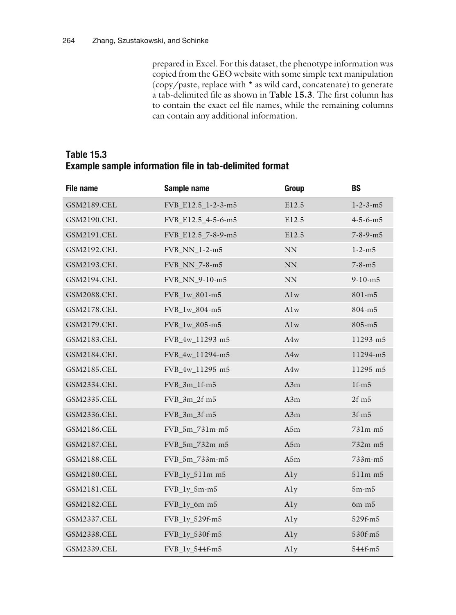prepared in Excel. For this dataset, the phenotype information was copied from the GEO website with some simple text manipulation (copy/paste, replace with \* as wild card, concatenate) to generate a tab-delimited file as shown in Table [15.3](#page-5-0). The first column has to contain the exact cel file names, while the remaining columns can contain any additional information.

| <b>Table 15.3</b> |  |  |                                                                |  |
|-------------------|--|--|----------------------------------------------------------------|--|
|                   |  |  | <b>Example sample information file in tab-delimited format</b> |  |

<span id="page-5-0"></span>

| <b>File name</b>   | Sample name        | Group     | <b>BS</b>        |
|--------------------|--------------------|-----------|------------------|
| <b>GSM2189.CEL</b> | FVB_E12.5_1-2-3-m5 | E12.5     | $1 - 2 - 3 - m5$ |
| <b>GSM2190.CEL</b> | FVB_E12.5_4-5-6-m5 | E12.5     | $4 - 5 - 6 - m5$ |
| <b>GSM2191.CEL</b> | FVB_E12.5_7-8-9-m5 | E12.5     | $7 - 8 - 9 - m5$ |
| <b>GSM2192.CEL</b> | FVB_NN_1-2-m5      | <b>NN</b> | $1 - 2 - m5$     |
| <b>GSM2193.CEL</b> | FVB_NN_7-8-m5      | <b>NN</b> | $7 - 8 - m5$     |
| <b>GSM2194.CEL</b> | FVB_NN_9-10-m5     | NN        | $9-10-m5$        |
| <b>GSM2088.CEL</b> | FVB_1w_801-m5      | Alw       | 801-m5           |
| <b>GSM2178.CEL</b> | FVB_1w_804-m5      | Alw       | $804 - m5$       |
| <b>GSM2179.CEL</b> | FVB_1w_805-m5      | Alw       | $805 - m5$       |
| <b>GSM2183.CEL</b> | FVB_4w_11293-m5    | A4w       | 11293-m5         |
| <b>GSM2184.CEL</b> | FVB_4w_11294-m5    | A4w       | 11294-m5         |
| <b>GSM2185.CEL</b> | FVB_4w_11295-m5    | A4w       | 11295-m5         |
| <b>GSM2334.CEL</b> | FVB_3m_1f-m5       | A3m       | $1f-m5$          |
| GSM2335.CEL        | $FVB_3m_2f-m5$     | A3m       | $2f-m5$          |
| <b>GSM2336.CEL</b> | FVB_3m_3f-m5       | A3m       | $3f-m5$          |
| <b>GSM2186.CEL</b> | FVB_5m_731m-m5     | A5m       | 731m-m5          |
| <b>GSM2187.CEL</b> | FVB_5m_732m-m5     | A5m       | $732m - m5$      |
| <b>GSM2188.CEL</b> | FVB_5m_733m-m5     | A5m       | 733m-m5          |
| <b>GSM2180.CEL</b> | $FVB_ly_5llm-m5$   | Aly       | $511m-m5$        |
| <b>GSM2181.CEL</b> | $FVB_ly_5m-m5$     | Aly       | $5m-m5$          |
| <b>GSM2182.CEL</b> | FVB_ly_6m-m5       | Aly       | $6m-m5$          |
| <b>GSM2337.CEL</b> | FVB_1y_529f-m5     | Aly       | 529f-m5          |
| <b>GSM2338.CEL</b> | FVB_1y_530f-m5     | Aly       | 530f-m5          |
| GSM2339.CEL        | FVB_1y_544f-m5     | Aly       | 544f-m5          |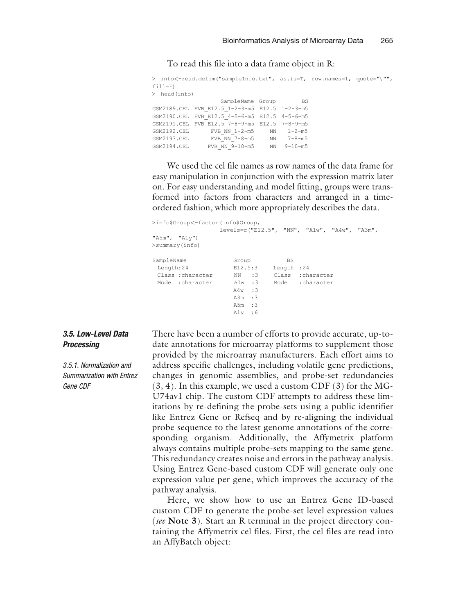To read this file into a data frame object in R:

```
> info<-read.delim("sampleInfo.txt", as.is=T, row.names=1, quote="\"",
fill=F)
> head(info)
                             SampleName Group BS
GSM2189.CEL FVB_E12.5_1-2-3-m5 E12.5 1-2-3-m5
GSM2190.CEL FVB_E12.5_4-5-6-m5 E12.5 4-5-6-m5
GSM2191.CEL FVB_E12.5_7-8-9-m5 E12.5 7-8-9-m5<br>GSM2192.CEL FVB_NN_1-2-m5 NN_1-2-m5
\begin{array}{ccccccccc} \textrm{GSM2192.CEL} & & & & \textrm{FVB\_NN\_1-2-m5} & & & \textrm{NN} & & 1-2-m5 \\ \textrm{GSM2193.CEL} & & & & \textrm{FVB\_NN} & & 7-8-m5 & & & \textrm{NN} & & 7-8-m5 \\ \end{array}GSM2193.CEL FVB_NN_7-8-m5 NN 7-8-m5
GSM2194.CEL FVB_NN_9-10-m5 NN 9-10-m5
```
We used the cel file names as row names of the data frame for easy manipulation in conjunction with the expression matrix later on. For easy understanding and model fitting, groups were transformed into factors from characters and arranged in a timeordered fashion, which more appropriately describes the data.

```
>info$Group<-factor(info$Group,
                    levels=c("E12.5", "NN", "A1w", "A4w", "A3m",
"A5m", "A1y")
>summary(info)
SampleName Group BS<br>
Length:24 E12.5:3 Length
Length:24 E12.5:3 Length :24<br>Class :character MN :3 Class :cha<br>Mode :character A1w :3 Mode :cha
  Class :character NN :3 Class :character
  Mode :character A1w :3 Mode :character
                         A4w :3
                         A3m :3
                         A5m :3
                         A1y :6
```
## 3.5. Low-Level Data **Processing**

3.5.1. Normalization and Summarization with Entrez Gene CDF

There have been a number of efforts to provide accurate, up-todate annotations for microarray platforms to supplement those provided by the microarray manufacturers. Each effort aims to address specific challenges, including volatile gene predictions, changes in genomic assemblies, and probe-set redundancies ([3](#page-24-0), [4\)](#page-24-0). In this example, we used a custom CDF ([3](#page-24-0)) for the MG-U74av1 chip. The custom CDF attempts to address these limitations by re-defining the probe-sets using a public identifier like Entrez Gene or Refseq and by re-aligning the individual probe sequence to the latest genome annotations of the corresponding organism. Additionally, the Affymetrix platform always contains multiple probe-sets mapping to the same gene. This redundancy creates noise and errors in the pathway analysis. Using Entrez Gene-based custom CDF will generate only one expression value per gene, which improves the accuracy of the pathway analysis.

Here, we show how to use an Entrez Gene ID-based custom CDF to generate the probe-set level expression values (see Note 3). Start an R terminal in the project directory containing the Affymetrix cel files. First, the cel files are read into an AffyBatch object: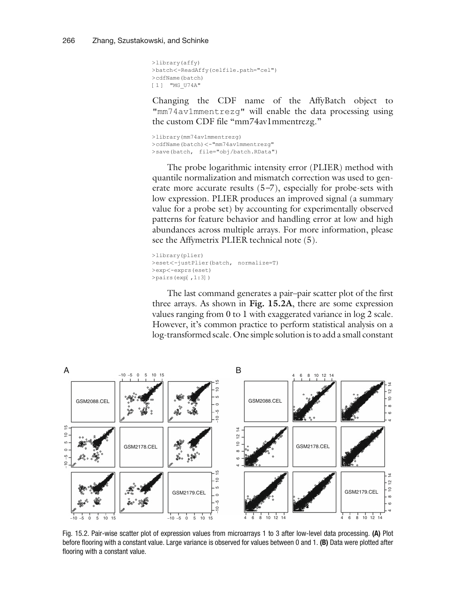```
>library(affy)
>batch<-ReadAffy(celfile.path="cel")
>cdfName(batch)
[1] "MG U74A"
```
Changing the CDF name of the AffyBatch object to "mm74av1mmentrezg" will enable the data processing using the custom CDF file "mm74av1mmentrezg."

>library(mm74av1mmentrezg) >cdfName(batch)<-"mm74av1mmentrezg" >save(batch, file="obj/batch.RData")

The probe logarithmic intensity error (PLIER) method with quantile normalization and mismatch correction was used to generate more accurate results [\(5](#page-24-0)–[7](#page-24-0)), especially for probe-sets with low expression. PLIER produces an improved signal (a summary value for a probe set) by accounting for experimentally observed patterns for feature behavior and handling error at low and high abundances across multiple arrays. For more information, please see the Affymetrix PLIER technical note [\(5](#page-24-0)).

```
>library(plier)
>eset<-justPlier(batch, normalize=T)
>exp<-exprs(eset)
>pairs(exp[,1:3])
```
The last command generates a pair–pair scatter plot of the first three arrays. As shown in Fig. [15.2A](#page-7-0), there are some expression values ranging from 0 to 1 with exaggerated variance in log 2 scale. However, it's common practice to perform statistical analysis on a log-transformed scale. One simple solution is to add a small constant



<span id="page-7-0"></span>Fig. 15.2. Pair-wise scatter plot of expression values from microarrays 1 to 3 after low-level data processing. (A) Plot before flooring with a constant value. Large variance is observed for values between 0 and 1. (B) Data were plotted after flooring with a constant value.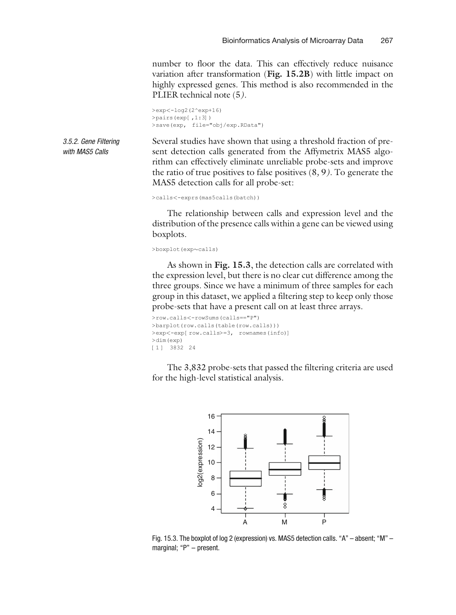number to floor the data. This can effectively reduce nuisance variation after transformation (Fig. [15.2B](#page-7-0)) with little impact on highly expressed genes. This method is also recommended in the PLIER technical note [\(5](#page-24-0)).

```
>exp<-log2(2^exp+16)
>pairs(exp[,1:3])
>save(exp, file="obj/exp.RData")
```
3.5.2. Gene Filtering with MAS5 Calls

Several studies have shown that using a threshold fraction of present detection calls generated from the Affymetrix MAS5 algorithm can effectively eliminate unreliable probe-sets and improve the ratio of true positives to false positives  $(8, 9)$  $(8, 9)$  $(8, 9)$  $(8, 9)$ . To generate the MAS5 detection calls for all probe-set:

```
>calls<-exprs(mas5calls(batch))
```
The relationship between calls and expression level and the distribution of the presence calls within a gene can be viewed using boxplots.

 $>$ boxplot(exp $\sim$ calls)

As shown in Fig. [15.3](#page-8-0), the detection calls are correlated with the expression level, but there is no clear cut difference among the three groups. Since we have a minimum of three samples for each group in this dataset, we applied a filtering step to keep only those probe-sets that have a present call on at least three arrays.

```
>row.calls<-rowSums(calls=="P")
>barplot(row.calls(table(row.calls)))
>exp<-exp[row.calls>=3, rownames(info)]
>dim(exp)
[1 ] 3832 24
```
The 3,832 probe-sets that passed the filtering criteria are used for the high-level statistical analysis.



<span id="page-8-0"></span>Fig. 15.3. The boxplot of log 2 (expression) vs. MAS5 detection calls. "A" – absent; "M" – marginal; "P" - present.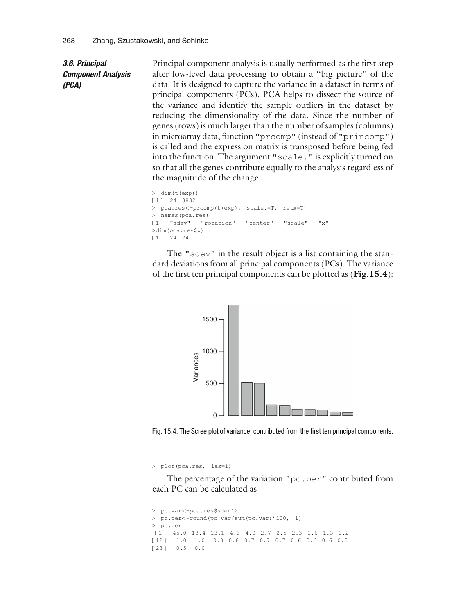3.6. Principal Component Analysis (PCA)

Principal component analysis is usually performed as the first step after low-level data processing to obtain a ''big picture'' of the data. It is designed to capture the variance in a dataset in terms of principal components (PCs). PCA helps to dissect the source of the variance and identify the sample outliers in the dataset by reducing the dimensionality of the data. Since the number of genes (rows) is much larger than the number of samples (columns) in microarray data, function "prcomp" (instead of "princomp") is called and the expression matrix is transposed before being fed into the function. The argument "scale." is explicitly turned on so that all the genes contribute equally to the analysis regardless of the magnitude of the change.

```
> dim(t(exp))
[1 ] 24 3832
> pca.res<-prcomp(t(exp), scale.=T, retx=T)
> names(pca.res)
[1] "sdev" "rotation" "center" "scale" "x"
>dim(pca.res$x)
[1 ] 24 24
```
The "sdev" in the result object is a list containing the standard deviations from all principal components (PCs). The variance of the first ten principal components can be plotted as (Fig[.15.4](#page-9-0)):



Fig. 15.4. The Scree plot of variance, contributed from the first ten principal components.

> plot(pca.res, las=1)

The percentage of the variation "pc.per" contributed from each PC can be calculated as

```
> pc.var<-pca.res$sdev^2
> pc.per<-round(pc.var/sum(pc.var)*100, 1)
> pc.per
[1 ] 45.0 13.4 13.1 4.3 4.0 2.7 2.5 2.3 1.6 1.3 1.2
[12 ] 1.0 1.0 0.8 0.8 0.7 0.7 0.7 0.6 0.6 0.6 0.5
[23] 0.5 0.0
```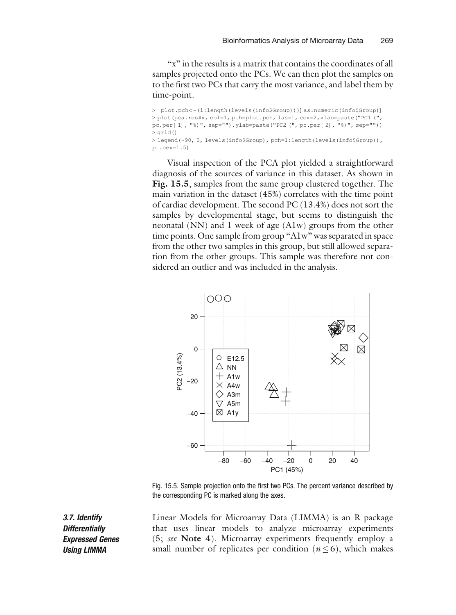"x" in the results is a matrix that contains the coordinates of all samples projected onto the PCs. We can then plot the samples on to the first two PCs that carry the most variance, and label them by time-point.

> plot.pch<-(1:length(levels(info\$Group)))[as.numeric(info\$Group)] > plot(pca.res\$x, col=1, pch=plot.pch, las=1, cex=2,xlab=paste("PC1 (", pc.per [1], "%)", sep=""),ylab=paste("PC2 (", pc.per [2], "%)", sep="")) > grid() > legend(-90, 0, levels(info\$Group), pch=1:length(levels(info\$Group)), pt.cex=1.5)

Visual inspection of the PCA plot yielded a straightforward diagnosis of the sources of variance in this dataset. As shown in Fig. [15.5](#page-10-0), samples from the same group clustered together. The main variation in the dataset (45%) correlates with the time point of cardiac development. The second PC (13.4%) does not sort the samples by developmental stage, but seems to distinguish the neonatal (NN) and 1 week of age (A1w) groups from the other time points. One sample from group "A1w" was separated in space from the other two samples in this group, but still allowed separation from the other groups. This sample was therefore not considered an outlier and was included in the analysis.



Fig. 15.5. Sample projection onto the first two PCs. The percent variance described by the corresponding PC is marked along the axes.

Linear Models for Microarray Data (LIMMA) is an R package that uses linear models to analyze microarray experiments ([5;](#page-24-0) see Note 4). Microarray experiments frequently employ a small number of replicates per condition ( $n \le 6$ ), which makes

<span id="page-10-0"></span>3.7. Identify **Differentially** Expressed Genes Using LIMMA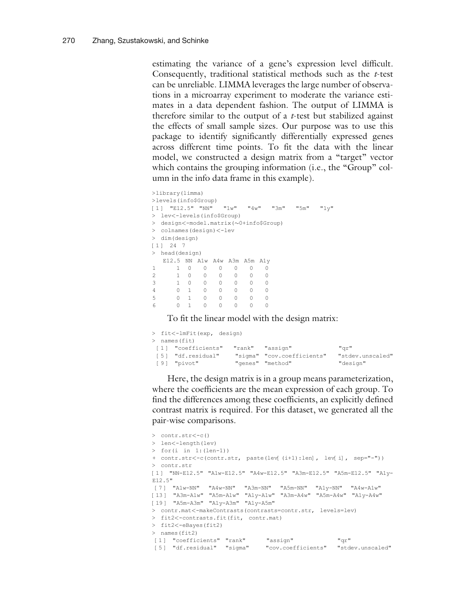estimating the variance of a gene's expression level difficult. Consequently, traditional statistical methods such as the t-test can be unreliable. LIMMA leverages the large number of observations in a microarray experiment to moderate the variance estimates in a data dependent fashion. The output of LIMMA is therefore similar to the output of a  $t$ -test but stabilized against the effects of small sample sizes. Our purpose was to use this package to identify significantly differentially expressed genes across different time points. To fit the data with the linear model, we constructed a design matrix from a "target" vector which contains the grouping information (i.e., the "Group" column in the info data frame in this example).

```
>library(limma)
>levels(info$Group)
[1 ] "E12.5" "NN" "1w" "4w" "3m" "5m" "1y"
> lev<-levels(info$Group)
> design<-model.matrix(~0+info$Group)
> colnames(design)<-lev
> dim(design)
[1 1 24 7> head(design)
  E12.5 NN A1w A4w A3m A5m A1y
\begin{array}{cccccccccccc} 1 & & 1 & 0 & 0 & 0 & 0 & 0 & 0 \\ 2 & & 1 & 0 & 0 & 0 & 0 & 0 & 0 \\ 3 & & 1 & 0 & 0 & 0 & 0 & 0 & 0 \\ \end{array}\begin{matrix} 0 & 0 \\ 0 & 0 \end{matrix}3 10 0 0 0 0 0
4 01 0 0 0 0 0
5 01 0 0 0 0 0
6 01 0 0 0 0 0
```
To fit the linear model with the design matrix:

| > fit<-lmFit(exp, design) |                  |                            |                  |
|---------------------------|------------------|----------------------------|------------------|
| > names(fit)              |                  |                            |                  |
| [1] "coefficients"        | "rank" "assion"  |                            | "ar"             |
| [5] "df.residual"         |                  | "sigma" "cov.coefficients" | "stdev.unscaled" |
| [9] "pivot"               | "genes" "method" |                            | "design"         |

Here, the design matrix is in a group means parameterization, where the coefficients are the mean expression of each group. To find the differences among these coefficients, an explicitly defined contrast matrix is required. For this dataset, we generated all the pair-wise comparisons.

```
> contr.str<-c()
> len<-length(lev)
> for(i in 1:(len-1))
+ contr.str<-c(contr.str, paste(lev[(i+1):len], lev[i], sep="-"))
> contr.str
[1 ] "NN-E12.5" "A1w-E12.5" "A4w-E12.5" "A3m-E12.5" "A5m-E12.5" "A1y-
E12.5"
[7 ] "A1w-NN" "A4w-NN" "A3m-NN" "A5m-NN" "A1y-NN" "A4w-A1w"
[13 ] "A3m-A1w" "A5m-A1w" "A1y-A1w" "A3m-A4w" "A5m-A4w" "A1y-A4w"
[19 ] "A5m-A3m" "A1y-A3m" "A1y-A5m"
> contr.mat<-makeContrasts(contrasts=contr.str, levels=lev)
> fit2<-contrasts.fit(fit, contr.mat)
> fit2<-eBayes(fit2)
> names(fit2)
[1 ] "coefficients" "rank" "assign" "qr"
[5 ] "df.residual" "sigma" "cov.coefficients" "stdev.unscaled"
```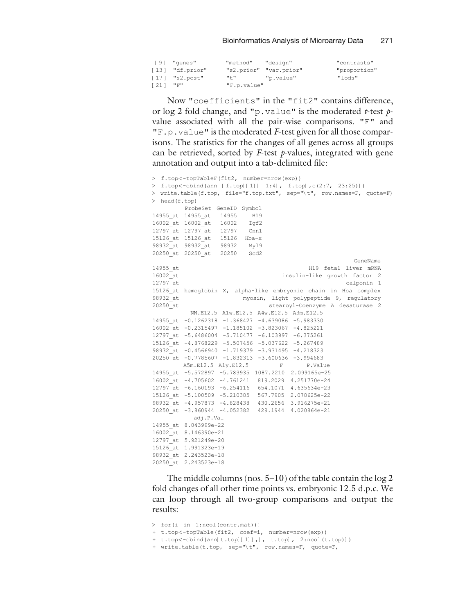|             | [9] "genes"     | "method"            | "desian"               | "contrasts"  |
|-------------|-----------------|---------------------|------------------------|--------------|
|             | [13] "df.prior" |                     | "s2.prior" "var.prior" | "proportion" |
|             | [17] "s2.post"  | $n + n$ and $n + n$ | "p.value"              | "lods"       |
| $121$ $"F"$ |                 | "F.p.value"         |                        |              |

Now "coefficients" in the "fit2" contains difference, or  $\log 2$  fold change, and "p.value" is the moderated *t*-test *p*value associated with all the pair-wise comparisons. "F" and  $"F.p.vallow$  is the moderated  $F$ -test given for all those comparisons. The statistics for the changes of all genes across all groups can be retrieved, sorted by  $F$ -test p-values, integrated with gene annotation and output into a tab-delimited file:

```
> f.top<-topTableF(fit2, number=nrow(exp))
> f.top<-cbind(ann [f.top[[1]] 1:4], f.top[,c(2:7, 23:25)])
> write.table(f.top, file="f.top.txt", sep="\t", row.names=F, quote=F)
> head(f.top)
        ProbeSet GeneID Symbol
14955_at 14955_at 14955 H19
16002_at 16002_at 16002 Igf2
12797_at 12797_at 12797 Cnn1
15126_at 15126_at 15126 Hba-x
98932_at 98932_at 98932 Myl9
20250_at 20250_at 20250 Scd2
                                                      GeneName
14955_at H19 fetal liver mRNA
                                  insulin-like growth factor 2
12797_at calponin 1
15126_at hemoglobin X, alpha-like embryonic chain in Hba complex
98932_at myosin, light polypeptide 9, regulatory<br>20250 at stearcyl-Coenzyme A desaturase 2
                               stearoyl-Coenzyme A desaturase 2
         NN.E12.5 A1w.E12.5 A4w.E12.5 A3m.E12.5
14955_at -0.1262318 -1.368427 -4.639086 -5.983330
16002_at -0.2315497 -1.185102 -3.823067 -4.825221
12797_at -5.6486004 -5.710477 -6.103997 -6.375261
15126_at -4.8768229 -5.507456 -5.037622 -5.267489
98932_at -0.4566940 -1.719379 -3.931495 -4.218323
20250_at -0.7785607 -1.832313 -3.600636 -3.994683
       A5m.E12.5 A1y.E12.5 F P.Value
14955_at -5.572897 -5.783935 1087.2210 2.099165e-25
16002_at -4.705602 -4.761241 819.2029 4.251770e-24
12797_at -6.160193 -6.254116 654.1071 4.635634e-23
15126_at -5.100509 -5.210385 567.7905 2.078625e-22
98932_at -4.957873 -4.828438 430.2656 3.916275e-21
20250_at -3.860944 -4.052382 429.1944 4.020864e-21
           adj.P.Val
14955_at 8.043999e-22
16002_at 8.146390e-21
12797_at 5.921249e-20
15126_at 1.991323e-19
98932_at 2.243523e-18
20250_at 2.243523e-18
```
The middle columns (nos. 5–10) of the table contain the log 2 fold changes of all other time points vs. embryonic 12.5 d.p.c. We can loop through all two-group comparisons and output the results:

```
> for(i in 1:ncol(contr.mat)){
+ t.top<-topTable(fit2, coef=i, number=nrow(exp))
+ t.top<-cbind(ann[t.top[[1]],], t.top[, 2:ncol(t.top)])
+ write.table(t.top, sep="\t", row.names=F, quote=F,
```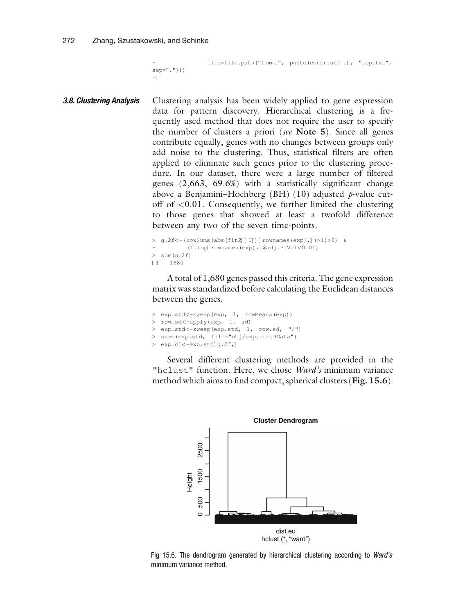```
+ file=file.path("limma", paste(contr.str[i], "top.txt",
sep=".")))
+}
```
**3.8. Clustering Analysis** Clustering analysis has been widely applied to gene expression data for pattern discovery. Hierarchical clustering is a frequently used method that does not require the user to specify the number of clusters a priori (see Note 5). Since all genes contribute equally, genes with no changes between groups only add noise to the clustering. Thus, statistical filters are often applied to eliminate such genes prior to the clustering procedure. In our dataset, there were a large number of filtered genes (2,663, 69.6%) with a statistically significant change above a Benjamini–Hochberg (BH) ([10\)](#page-24-0) adjusted  $p$ -value cutoff of <0.01. Consequently, we further limited the clustering to those genes that showed at least a twofold difference between any two of the seven time-points.

```
> g.2f<-(rowSums(abs(fit2[[1]][rownames(exp),])>1)>0) &
          + (f.top[rownames(exp),]$adj.P.Val<0.01)
> sum (q.2f)
[1 ] 1680
```
A total of 1,680 genes passed this criteria. The gene expression matrix was standardized before calculating the Euclidean distances between the genes.

```
> exp.std<-sweep(exp, 1, rowMeans(exp))
> row.sd<-apply(exp, 1, sd)
> exp.std<-sweep(exp.std, 1, row.sd, "/")
> save(exp.std, file="obj/exp.std.RData")
> exp.cl<-exp.std[g.2f,]
```
Several different clustering methods are provided in the "hclust" function. Here, we chose Ward's minimum variance method which aims to find compact, spherical clusters (Fig. [15.6](#page-13-0)).



<span id="page-13-0"></span>Fig 15.6. The dendrogram generated by hierarchical clustering according to Ward's minimum variance method.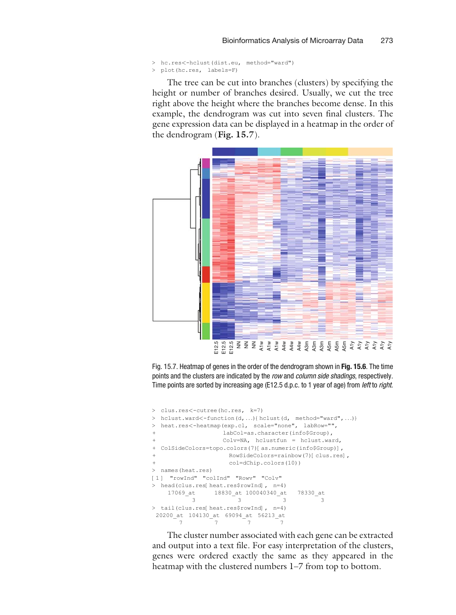```
> hc.res<-hclust(dist.eu, method="ward")
> plot(hc.res, labels=F)
```
The tree can be cut into branches (clusters) by specifying the height or number of branches desired. Usually, we cut the tree right above the height where the branches become dense. In this example, the dendrogram was cut into seven final clusters. The gene expression data can be displayed in a heatmap in the order of the dendrogram (Fig. [15.7](#page-14-0)).



Fig. 15.7. Heatmap of genes in the order of the dendrogram shown in Fig. [15.6](#page-13-0). The time points and the clusters are indicated by the row and column side shadings, respectively. Time points are sorted by increasing age (E12.5 d.p.c. to 1 year of age) from *left* to *right*.

```
> clus.res<-cutree(hc.res, k=7)
> hclust.ward<-function(d, ...){hclust(d, method="ward", ...)}
> heat.res<-heatmap(exp.cl, scale="none", labRow="",
                    + labCol=as.character(info$Group),
                     Colv=NA, hclustfun = hclust.ward,
+ ColSideColors=topo.colors(7)[as.numeric(info$Group)],
                        + RowSideColors=rainbow(7)[clus.res],
                        col=dChip.colors(10))
> names(heat.res)
[1] "rowInd" "colInd" "Rowv" "Colv"
> head(clus.res[heat.res$rowInd], n=4)
   17069_at 18830_at 100040340_at 78330_at
            3 3 33
> tail(clus.res[heat.res$rowInd], n=4)
 20200_at 104130_at 69094_at 56213_at
         7 777
Heatmap of geness in the order of the dendrogram shown in Fig. 15.6. The tip points and the clusters are indicated by the row and column side shadings, respective Time points are sorted by increasing age (E12.5 d.p.
```
<span id="page-14-0"></span>The cluster number associated with each gene can be extracted and output into a text file. For easy interpretation of the clusters, genes were ordered exactly the same as they appeared in the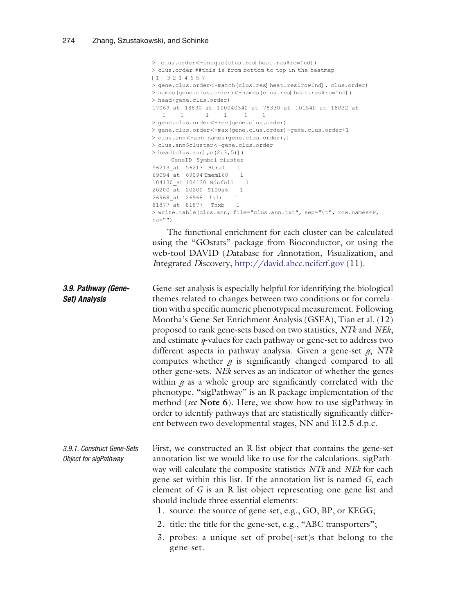|                                                     | > clus.order<-unique(clus.res[heat.res\$rowInd])<br>> clus.order ##this is from bottom to top in the heatmap<br>$[1]$ 3214657<br>> gene.clus.order<-match(clus.res[ heat.res\$rowInd], clus.order)<br>> names (gene.clus.order) <-names (clus.res[ heat.res\$rowInd])<br>> head (gene.clus.order)<br>17069 at 18830 at 100040340 at 78330 at 101540 at 18032 at<br>$1 \quad 1$<br>$\mathbf{1}$<br>$\mathbf{1}$<br>1<br>1<br>> gene.clus.order<-rev(gene.clus.order)<br>> gene.clus.order<-max(gene.clus.order)-gene.clus.order+1<br>> clus.ann<-ann[ names(gene.clus.order),]<br>> clus.ann\$cluster<-gene.clus.order<br>> head(clus.ann[, $c(2:3, 5)$ ])<br>GeneID Symbol cluster<br>56213 at 56213 Htral<br>1<br>69094 at 69094 Tmem160<br>1<br>104130 at 104130 Ndufb11<br>1<br>20200 at 20200 S100a6<br>$\mathbf{1}$<br>26968 at 26968 Islr<br>$\mathbf{1}$<br>81877 at 81877 Tnxb<br>$\mathbf{1}$<br>> write.table(clus.ann, file="clus.ann.txt", sep="\t", row.names=F,<br>$na="")$<br>The functional enrichment for each cluster can be calculated<br>using the "GOstats" package from Bioconductor, or using the |
|-----------------------------------------------------|--------------------------------------------------------------------------------------------------------------------------------------------------------------------------------------------------------------------------------------------------------------------------------------------------------------------------------------------------------------------------------------------------------------------------------------------------------------------------------------------------------------------------------------------------------------------------------------------------------------------------------------------------------------------------------------------------------------------------------------------------------------------------------------------------------------------------------------------------------------------------------------------------------------------------------------------------------------------------------------------------------------------------------------------------------------------------------------------------------------------------|
|                                                     | web-tool DAVID (Database for Annotation, Visualization, and<br>Integrated Discovery, http://david.abcc.ncifcrf.gov (11).                                                                                                                                                                                                                                                                                                                                                                                                                                                                                                                                                                                                                                                                                                                                                                                                                                                                                                                                                                                                 |
| 3.9. Pathway (Gene-<br><b>Set) Analysis</b>         | Gene-set analysis is especially helpful for identifying the biological<br>themes related to changes between two conditions or for correla-<br>tion with a specific numeric phenotypical measurement. Following<br>Mootha's Gene-Set Enrichment Analysis (GSEA), Tian et al. (12)<br>proposed to rank gene-sets based on two statistics, NTk and NEk,<br>and estimate $q$ -values for each pathway or gene-set to address two<br>different aspects in pathway analysis. Given a gene-set $g$ , NTk<br>computes whether $g$ is significantly changed compared to all<br>other gene-sets. NEk serves as an indicator of whether the genes<br>within $g$ as a whole group are significantly correlated with the<br>phenotype. "sigPathway" is an R package implementation of the<br>method (see Note 6). Here, we show how to use sigPathway in<br>order to identify pathways that are statistically significantly differ-<br>ent between two developmental stages, NN and E12.5 d.p.c.                                                                                                                                      |
| 3.9.1. Construct Gene-Sets<br>Object for sigPathway | First, we constructed an R list object that contains the gene-set<br>annotation list we would like to use for the calculations. sigPath-<br>way will calculate the composite statistics NTk and NEk for each<br>gene-set within this list. If the annotation list is named G, each<br>element of $G$ is an R list object representing one gene list and<br>should include three essential elements:<br>1. source: the source of gene-set, e.g., GO, BP, or KEGG;<br>2. title: the title for the gene-set, e.g., "ABC transporters";<br>3. probes: a unique set of probe(-set)s that belong to the<br>gene-set.                                                                                                                                                                                                                                                                                                                                                                                                                                                                                                           |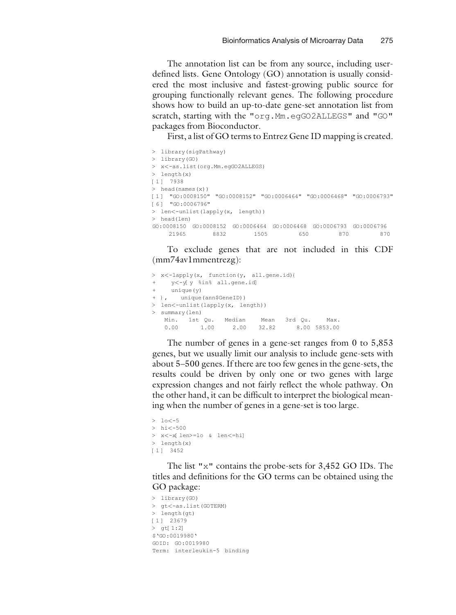The annotation list can be from any source, including userdefined lists. Gene Ontology (GO) annotation is usually considered the most inclusive and fastest-growing public source for grouping functionally relevant genes. The following procedure shows how to build an up-to-date gene-set annotation list from scratch, starting with the "org.Mm.egGO2ALLEGS" and "GO" packages from Bioconductor.

First, a list of GO terms to Entrez Gene ID mapping is created.

```
> library(sigPathway)
> library(GO)
> x<-as.list(org.Mm.egGO2ALLEGS)
> length(x)
[1 ] 7938
> head(names(x))
[1 ] "GO:0008150" "GO:0008152" "GO:0006464" "GO:0006468" "GO:0006793"
[6 ] "GO:0006796"
> len<-unlist(lapply(x, length))
> head(len)
GO:0008150 GO:0008152 GO:0006464 GO:0006468 GO:0006793 GO:0006796<br>21965 8832 1505 650 870 870
           21965 8832 1505 650 870 870
```
To exclude genes that are not included in this CDF (mm74av1mmentrezg):

```
> x<-lapply(x, function(y, all.gene.id){
+ y<-y[y %in% all.gene.id]
+ unique(y)
+ }, unique(ann$GeneID))
> len<-unlist(lapply(x, length))
> summary(len)
   Min. 1st Qu. Median Mean 3rd Qu. Max.
   0.00 1.00 2.00 32.82 8.00 5853.00
```
The number of genes in a gene-set ranges from 0 to 5,853 genes, but we usually limit our analysis to include gene-sets with about 5–500 genes. If there are too few genes in the gene-sets, the results could be driven by only one or two genes with large expression changes and not fairly reflect the whole pathway. On the other hand, it can be difficult to interpret the biological meaning when the number of genes in a gene-set is too large.

```
> 10< -5> hi<-500
> x<-x[len>=lo & len<=hi]
> length(x)
[1 ] 3452
```
The list "x" contains the probe-sets for 3,452 GO IDs. The titles and definitions for the GO terms can be obtained using the GO package:

```
> library(GO)
> gt<-as.list(GOTERM)
> length(gt)
[1 ] 23679
> gt[1:2]
$'GO:0019980'
GOID: GO:0019980
Term: interleukin-5 binding
```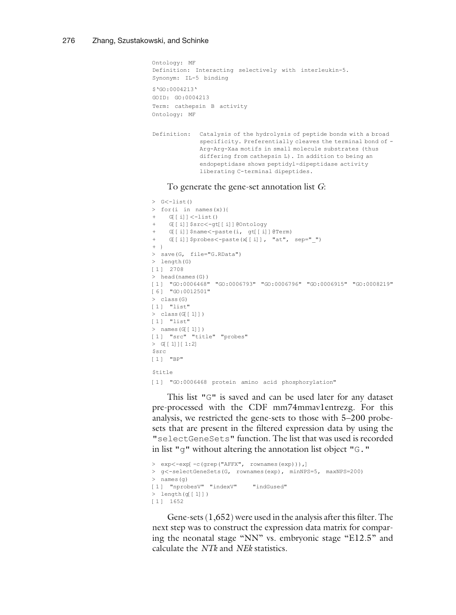```
Ontology: MF
Definition: Interacting selectively with interleukin-5.
Synonym: IL-5 binding
$'GO:0004213'
GOID: GO:0004213
Term: cathepsin B activity
Ontology: MF
Definition: Catalysis of the hydrolysis of peptide bonds with a broad
             specificity. Preferentially cleaves the terminal bond of -
             Arg-Arg-Xaa motifs in small molecule substrates (thus
             differing from cathepsin L). In addition to being an
              endopeptidase shows peptidyl-dipeptidase activity
             liberating C-terminal dipeptides.
```
#### To generate the gene-set annotation list G:

```
> G<-list()
> for(i in names(x)){
    G[[i]] <-list()
+ G[[i]]$src<-gt[[i]]@Ontology
   G[[i]]$name<-paste(i, gt[[i]]@Term)
+ G[[i]]$probes<-paste(x[[i]], "at", sep=" ")
+ }
> save(G, file="G.RData")
> length(G)
[1 ] 2708
> head(names(G))
[1 ] "GO:0006468" "GO:0006793" "GO:0006796" "GO:0006915" "GO:0008219"
[6] "GO:0012501"
> class(G)
[1] "list"
> class(G[[1]])
[1] "list"
> names(G[[1]])
[1] "src" "title" "probes"
> G[[1]][1:2]
Ssrc
[1 ] "BP"
Stitle[1 ] "GO:0006468 protein amino acid phosphorylation"
```
This list "G" is saved and can be used later for any dataset pre-processed with the CDF mm74mmav1entrezg. For this analysis, we restricted the gene-sets to those with 5–200 probesets that are present in the filtered expression data by using the "selectGeneSets" function. The list that was used is recorded in list "g" without altering the annotation list object "G."

```
> exp<-exp[-c(grep("AFFX", rownames(exp))),]
> g<-selectGeneSets(G, rownames(exp), minNPS=5, maxNPS=200)
> names(g)
[1 ] "nprobesV" "indexV" "indGused"
> length(g[[1]])
[1 ] 1652
```
Gene-sets (1,652) were used in the analysis after this filter. The next step was to construct the expression data matrix for comparing the neonatal stage "NN" vs. embryonic stage "E12.5" and calculate the NTk and NEk statistics.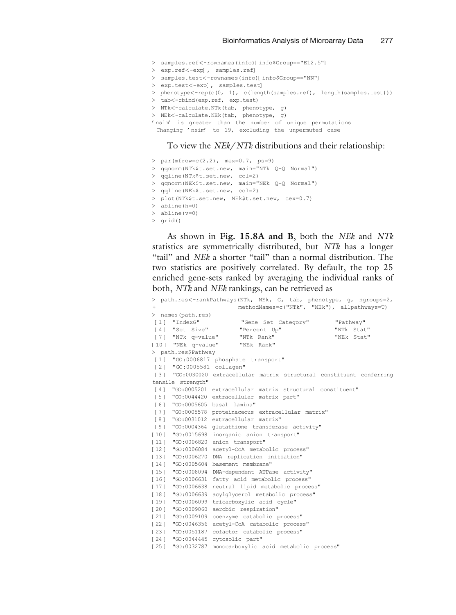- > samples.ref<-rownames(info)[info\$Group=="E12.5"]
- > exp.ref<-exp[, samples.ref]
- > samples.test<-rownames(info)[info\$Group=="NN"]
- > exp.test<-exp[, samples.test]
- > phenotype<-rep(c(0, 1), c(length(samples.ref), length(samples.test)))
- > tab<-cbind(exp.ref, exp.test)
- > NTk<-calculate.NTk(tab, phenotype, g)
- > NEk<-calculate.NEk(tab, phenotype, g)
- 'nsim' is greater than the number of unique permutations
- Changing 'nsim' to 19, excluding the unpermuted case

#### To view the NEk/NTk distributions and their relationship:

- > par(mfrow=c(2,2), mex=0.7, ps=9)
- > qqnorm(NTk\$t.set.new, main="NTk Q-Q Normal")
- > qqline(NTk\$t.set.new, col=2)
- > qqnorm(NEk\$t.set.new, main="NEk Q-Q Normal")
- > qqline(NEk\$t.set.new, col=2)
- > plot(NTk\$t.set.new, NEk\$t.set.new, cex=0.7)
- > abline(h=0)
- > abline(v=0)
- > grid()

As shown in Fig. [15.8A and B](#page-19-0), both the NEk and NTk statistics are symmetrically distributed, but NTk has a longer "tail" and *NEk* a shorter "tail" than a normal distribution. The two statistics are positively correlated. By default, the top 25 enriched gene-sets ranked by averaging the individual ranks of both, NTk and NEk rankings, can be retrieved as

|                                    |                           | > path.res<-rankPathways(NTk, NEk, G, tab, phenotype, q, ngroups=2,    |
|------------------------------------|---------------------------|------------------------------------------------------------------------|
| $^{+}$                             |                           | methodNames=c("NTk", "NEk"), allpathways=T)                            |
|                                    | > names (path.res)        |                                                                        |
| $\lceil 1 \rceil$                  | "IndexG"                  | "Pathway"<br>"Gene Set Category"                                       |
|                                    | [4] "Set Size"            | "Percent Up"<br>"NTk Stat"                                             |
|                                    | [7] "NTk q-value"         | "NTk Rank"<br>"NEk Stat"                                               |
|                                    | [10] "NEk q-value"        | "NEk Rank"                                                             |
|                                    | > path.res\$Pathway       |                                                                        |
|                                    |                           | [1] "GO:0006817 phosphate transport"                                   |
|                                    | [2] "GO:0005581 collagen" |                                                                        |
|                                    |                           | [3] "GO:0030020 extracellular matrix structural constituent conferring |
|                                    | tensile strength"         |                                                                        |
| $\lceil 4 \rceil$                  |                           | "GO:0005201 extracellular matrix structural constituent"               |
| 51                                 |                           | "GO:0044420 extracellular matrix part"                                 |
| 61                                 |                           | "GO:0005605 basal lamina"                                              |
| $[7]$                              |                           | "GO:0005578 proteinaceous extracellular matrix"                        |
| 681                                |                           | "GO:0031012 extracellular matrix"                                      |
| 191                                |                           | "GO:0004364 glutathione transferase activity"                          |
|                                    |                           | [10] "GO:0015698 inorganic anion transport"                            |
| [11]                               |                           | "GO:0006820 anion transport"                                           |
|                                    |                           | [12] "GO:0006084 acetyl-CoA metabolic process"                         |
|                                    |                           | [13] "GO:0006270 DNA replication initiation"                           |
| $[14]$                             | "GO:0005604               | basement membrane"                                                     |
| $\lceil 15 \rceil$                 |                           | "GO:0008094 DNA-dependent ATPase activity"                             |
| $161$                              |                           | "GO:0006631 fatty acid metabolic process"                              |
|                                    |                           | [17] "GO:0006638 neutral lipid metabolic process"                      |
| $\begin{array}{c} 18 \end{array}$  |                           | "GO:0006639 acylglycerol metabolic process"                            |
| 191                                | "GO:0006099               | tricarboxylic acid cycle"                                              |
| $\begin{bmatrix} 20 \end{bmatrix}$ |                           | "GO:0009060 aerobic respiration"                                       |
| $[21]$                             |                           | "GO:0009109 coenzyme catabolic process"                                |
| $\lceil 22 \rceil$                 |                           | "GO:0046356 acetyl-CoA catabolic process"                              |
|                                    |                           | [23] "GO:0051187 cofactor catabolic process"                           |
|                                    |                           | [24] "GO:0044445 cytosolic part"                                       |
|                                    | [25] "GO:0032787          | monocarboxylic acid metabolic process"                                 |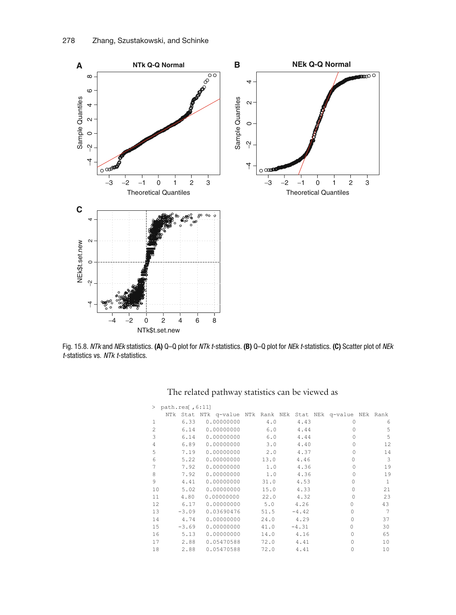

Fig. 15.8. NTk and NEk statistics. (A) Q-Q plot for NTk t-statistics. (B) Q-Q plot for NEk t-statistics. (C) Scatter plot of NEk t-statistics vs. NTk t-statistics.

<span id="page-19-0"></span>

|                | > path.res[, $6:11$ ] |         |                                                             |      |         |          |                |
|----------------|-----------------------|---------|-------------------------------------------------------------|------|---------|----------|----------------|
|                |                       |         | NTk Stat NTk q-value NTk Rank NEk Stat NEk q-value NEk Rank |      |         |          |                |
| 1              |                       | 6.33    | 0.00000000                                                  | 4.0  | 4.43    | $\Omega$ | 6              |
| $\overline{c}$ |                       | 6.14    | 0.00000000                                                  | 6.0  | 4.44    | $\cap$   | 5              |
| 3              |                       | 6.14    | 0.00000000                                                  | 6.0  | 4.44    | $\Omega$ | 5              |
| $\overline{4}$ |                       | 6.89    | 0.00000000                                                  | 3.0  | 4.40    | $\Omega$ | 12             |
| 5              |                       | 7.19    | 0.00000000                                                  | 2.0  | 4.37    | $\Omega$ | 14             |
| 6              |                       | 5.22    | 0.00000000                                                  | 13.0 | 4.46    | $\Omega$ | 3              |
| 7              |                       | 7.92    | 0.00000000                                                  | 1.0  | 4.36    | $\Omega$ | 19             |
| 8              |                       | 7.92    | 0.00000000                                                  | 1.0  | 4.36    | $\Omega$ | 19             |
| 9              |                       | 4.41    | 0.00000000                                                  | 31.0 | 4.53    | $\Omega$ | 1              |
| 10             |                       | 5.02    | 0.00000000                                                  | 15.0 | 4.33    |          | 21             |
| 11             |                       | 4.80    | 0.00000000                                                  | 22.0 | 4.32    | O        | 23             |
| 12             |                       | 6.17    | 0.00000000                                                  | 5.0  | 4.26    | $\Omega$ | 43             |
| 13             |                       | $-3.09$ | 0.03690476                                                  | 51.5 | $-4.42$ | $\Omega$ | $\overline{7}$ |
| 14             |                       | 4.74    | 0.00000000                                                  | 24.0 | 4.29    | $\cap$   | 37             |
| 15             |                       | $-3.69$ | 0.00000000                                                  | 41.0 | $-4.31$ | $\Omega$ | 30             |
| 16             |                       | 5.13    | 0.00000000                                                  | 14.0 | 4.16    | $\cap$   | 65             |
| 17             |                       | 2.88    | 0.05470588                                                  | 72.0 | 4.41    | $\cap$   | 10             |
| 18             |                       | 2.88    | 0.05470588                                                  | 72.0 | 4.41    | $\Omega$ | 10             |

The related pathway statistics can be viewed as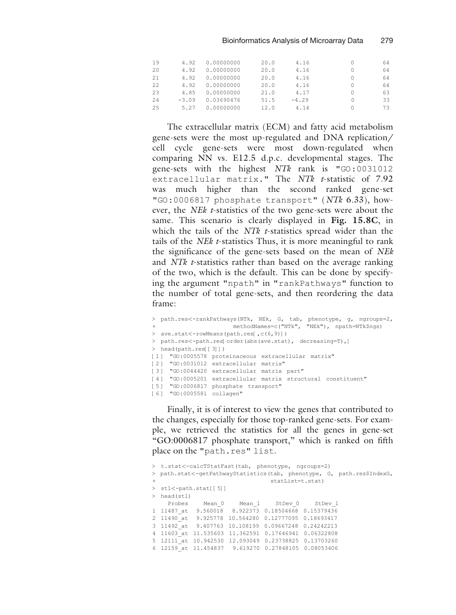| 4.92    | 0.00000000 | 20.0 | 4.16    | 64 |
|---------|------------|------|---------|----|
| 4.92    | 0.00000000 | 20.0 | 4.16    | 64 |
| 4.92    | 0.00000000 | 20.0 | 4.16    | 64 |
| 4.92    | 0.00000000 | 20.0 | 4.16    | 64 |
| 4.85    | 0.00000000 | 21.0 | 4.17    | 63 |
| $-3.09$ | 0.03690476 | 51.5 | $-4.29$ | 33 |
| 5.27    | 0.00000000 | 12.0 | 4.14    | 73 |
|         |            |      |         |    |

The extracellular matrix (ECM) and fatty acid metabolism gene-sets were the most up-regulated and DNA replication/ cell cycle gene-sets were most down-regulated when comparing NN vs. E12.5 d.p.c. developmental stages. The gene-sets with the highest NTk rank is "GO:0031012 extracellular matrix." The NTk t-statistic of 7.92 was much higher than the second ranked gene-set "GO:0006817 phosphate transport" (NTk 6.33), however, the *NEk t*-statistics of the two gene-sets were about the same. This scenario is clearly displayed in Fig. [15.8C](#page-19-0), in which the tails of the *NTk t*-statistics spread wider than the tails of the NEk t-statistics Thus, it is more meaningful to rank the significance of the gene-sets based on the mean of NEk and *NTk t*-statistics rather than based on the average ranking of the two, which is the default. This can be done by specifying the argument "npath" in "rankPathways" function to the number of total gene-sets, and then reordering the data frame:

```
> path.res<-rankPathways(NTk, NEk, G, tab, phenotype, g, ngroups=2,
                     methodNames=c("NTk", "NEk"), npath=NTk$ngs)
> ave.stat<-rowMeans(path.res[,c(6,9)])
> path.res<-path.res[order(abs(ave.stat), decreasing=T),]
> head(path.res[[3]])
[1 ] "GO:0005578 proteinaceous extracellular matrix"
[2 ] "GO:0031012 extracellular matrix"
[3] "GO:0044420 extracellular matrix part"
[4 ] "GO:0005201 extracellular matrix structural constituent"
[5 ] "GO:0006817 phosphate transport"
[6] "GO:0005581 collagen"
```
Finally, it is of interest to view the genes that contributed to the changes, especially for those top-ranked gene-sets. For example, we retrieved the statistics for all the genes in gene-set ''GO:0006817 phosphate transport,'' which is ranked on fifth place on the "path.res" list.

```
> t.stat<-calcTStatFast(tab, phenotype, ngroups=2)
> path.stat<-getPathwayStatistics(tab, phenotype, G, path.res$IndexG,
                               + statList=t.stat)
> st1<-path.stat[[5]]
> head(st1)
   Probes Mean 0 Mean 1 StDev 0 StDev 1
1 11487_at 9.560018 8.922373 0.18504668 0.15379436
2 11490_at 9.925778 10.564280 0.12777095 0.18693417
3 11492_at 9.407763 10.108199 0.09667248 0.24242213
4 11603_at 11.535603 11.362591 0.17646941 0.06322808
5 12111_at 10.942530 12.093049 0.23738825 0.13703260
6 12159_at 11.454837 9.619270 0.27848105 0.08053406
```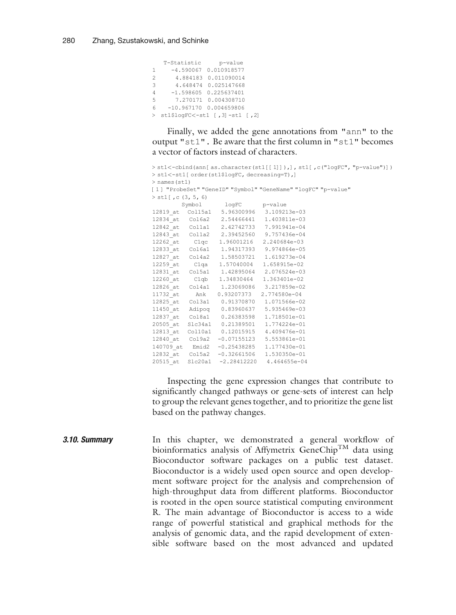|                | T-Statistic | p-value                         |
|----------------|-------------|---------------------------------|
| 1.             |             | $-4.590067$ 0.010918577         |
| $\mathfrak{D}$ |             | 4.884183 0.011090014            |
| 3              |             | 4.648474 0.025147668            |
| $\overline{4}$ |             | $-1.598605$ 0.225637401         |
| 5              |             | 7.270171 0.004308710            |
| 6              |             | $-10.967170$ $0.004659806$      |
|                |             | > st1\$logFC<-st1 [,3]-st1 [,2] |

Finally, we added the gene annotations from "ann" to the output "st1". Be aware that the first column in "st1" becomes a vector of factors instead of characters.

```
> st1<-cbind(ann[as.character(st1[[1]]),], st1[,c("logFC", "p-value")])
> st1<-st1 [order(st1$logFC, decreasing=T),]
> names(st1)
[1 ] "ProbeSet" "GeneID" "Symbol" "GeneName" "logFC" "p-value"
> st1[, c (3, 5, 6)
        Symbol logFC p-value
12819_at Col15a1 5.96300996 3.109213e-03
12834_at Col6a2 2.54466441 1.403811e-03
12842_at Col1a1 2.42742733 7.991941e-04
12843_at Col1a2 2.39452560 9.757436e-04
12262_at C1qc 1.96001216 2.240684e-03
12833_at Col6a1 1.94317393 9.974864e-05
12827_at Col4a2 1.58503721 1.619273e-04
12259_at C1qa 1.57040004 1.658915e-02
12831_at Col5a1 1.42895064 2.076524e-03
12260_at C1qb 1.34830464 1.363401e-02
12826_at Col4a1 1.23069086 3.217859e-02
11732_at Ank 0.93207373 2.774580e-04
12825_at Col3a1 0.91370870 1.071566e-02
11450_at Adipoq 0.83960637 5.935469e-03
12837_at Col8a1 0.26383598 1.718501e-01
20505_at Slc34a1 0.21389501 1.774224e-01
12813_at Col10a1 0.12015915 4.409476e-01
12840_at Col9a2 -0.07155123 5.553861e-01
140709_at Emid2 -0.25438285 1.177430e-01
12832_at Col5a2 -0.32661506 1.530350e-01
20515_at Slc20a1 -2.28412220 4.464655e-04
```
Inspecting the gene expression changes that contribute to significantly changed pathways or gene-sets of interest can help to group the relevant genes together, and to prioritize the gene list based on the pathway changes.

**3.10. Summary** In this chapter, we demonstrated a general workflow of bioinformatics analysis of Affymetrix GeneChip<sup>TM</sup> data using Bioconductor software packages on a public test dataset. Bioconductor is a widely used open source and open development software project for the analysis and comprehension of high-throughput data from different platforms. Bioconductor is rooted in the open source statistical computing environment R. The main advantage of Bioconductor is access to a wide range of powerful statistical and graphical methods for the analysis of genomic data, and the rapid development of extensible software based on the most advanced and updated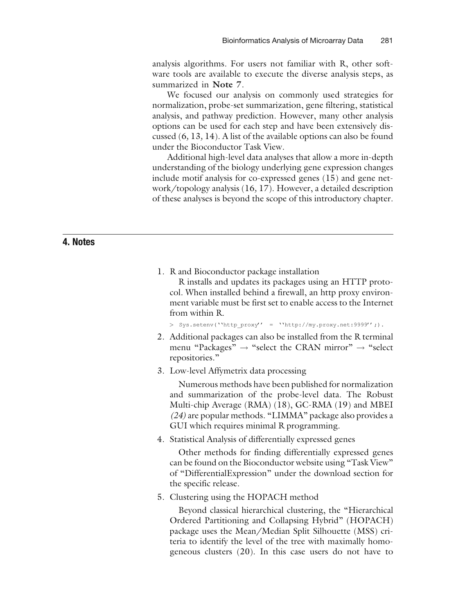analysis algorithms. For users not familiar with R, other software tools are available to execute the diverse analysis steps, as summarized in Note 7.

We focused our analysis on commonly used strategies for normalization, probe-set summarization, gene filtering, statistical analysis, and pathway prediction. However, many other analysis options can be used for each step and have been extensively discussed ([6](#page-24-0), [13](#page-24-0), [14\)](#page-24-0). A list of the available options can also be found under the Bioconductor Task View.

Additional high-level data analyses that allow a more in-depth understanding of the biology underlying gene expression changes include motif analysis for co-expressed genes ([15](#page-24-0)) and gene network/topology analysis ([16](#page-24-0), [17\)](#page-24-0). However, a detailed description of these analyses is beyond the scope of this introductory chapter.

## 4. Notes

1. R and Bioconductor package installation

R installs and updates its packages using an HTTP protocol. When installed behind a firewall, an http proxy environment variable must be first set to enable access to the Internet from within R.

> Sys.setenv(''http\_proxy'' = ''http://my.proxy.net:9999'';).

- 2. Additional packages can also be installed from the R terminal menu "Packages"  $\rightarrow$  "select the CRAN mirror"  $\rightarrow$  "select repositories.''
- 3. Low-level Affymetrix data processing

Numerous methods have been published for normalization and summarization of the probe-level data. The Robust Multi-chip Average (RMA) ([18](#page-24-0)), GC-RMA ([19](#page-24-0)) and MBEI (24) are popular methods. ''LIMMA'' package also provides a GUI which requires minimal R programming.

4. Statistical Analysis of differentially expressed genes

Other methods for finding differentially expressed genes can be found on the Bioconductor website using ''Task View'' of ''DifferentialExpression'' under the download section for the specific release.

<span id="page-22-0"></span>5. Clustering using the HOPACH method

Beyond classical hierarchical clustering, the ''Hierarchical Ordered Partitioning and Collapsing Hybrid'' (HOPACH) package uses the Mean/Median Split Silhouette (MSS) criteria to identify the level of the tree with maximally homogeneous clusters [\(20\)](#page-24-0). In this case users do not have to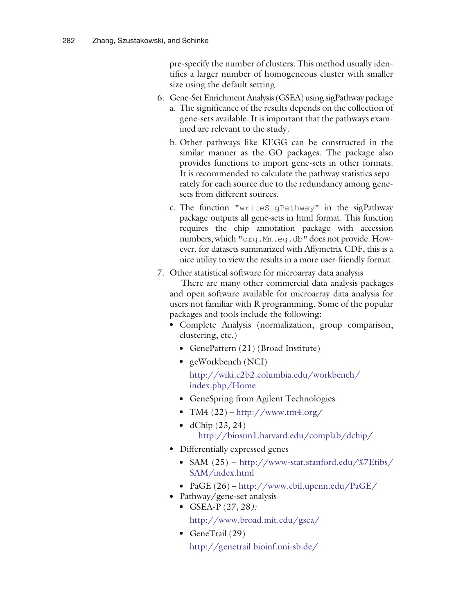pre-specify the number of clusters. This method usually identifies a larger number of homogeneous cluster with smaller size using the default setting.

- 6. Gene-Set Enrichment Analysis(GSEA) using sigPathway package
	- a. The significance of the results depends on the collection of gene-sets available. It is important that the pathways examined are relevant to the study.
	- b. Other pathways like KEGG can be constructed in the similar manner as the GO packages. The package also provides functions to import gene-sets in other formats. It is recommended to calculate the pathway statistics separately for each source due to the redundancy among genesets from different sources.
	- c. The function "writeSigPathway" in the sigPathway package outputs all gene-sets in html format. This function requires the chip annotation package with accession numbers, which "org.Mm.eg.db" does not provide. However, for datasets summarized with Affymetrix CDF, this is a nice utility to view the results in a more user-friendly format.
- 7. Other statistical software for microarray data analysis

There are many other commercial data analysis packages and open software available for microarray data analysis for users not familiar with R programming. Some of the popular packages and tools include the following:

- Complete Analysis (normalization, group comparison, clustering, etc.)
	- GenePattern [\(21](#page-24-0)) (Broad Institute)
	- geWorkbench  $(NCI)$ http://wiki.c2b2.columbia.edu/workbench/ index.php/Home
	- GeneSpring from Agilent Technologies
	- TM4  $(22)$  http://www.tm4.org/
	- $\bullet$  dChip [\(23](#page-25-0), [24](#page-25-0)) http://biosun1.harvard.edu/complab/dchip/
- Differentially expressed genes
	- SAM  $(25)$  $(25)$  http://www-stat.stanford.edu/%7Etibs/ SAM/index.html
	- PaGE [\(26\)](#page-25-0) http://www.cbil.upenn.edu/PaGE/
- Pathway/gene-set analysis • GSEA-P  $(27, 28)$  $(27, 28)$  $(27, 28)$  $(27, 28)$  $(27, 28)$ :

http://www.broad.mit.edu/gsea/

 $\bullet$  GeneTrail ([29\)](#page-25-0) http://genetrail.bioinf.uni-sb.de/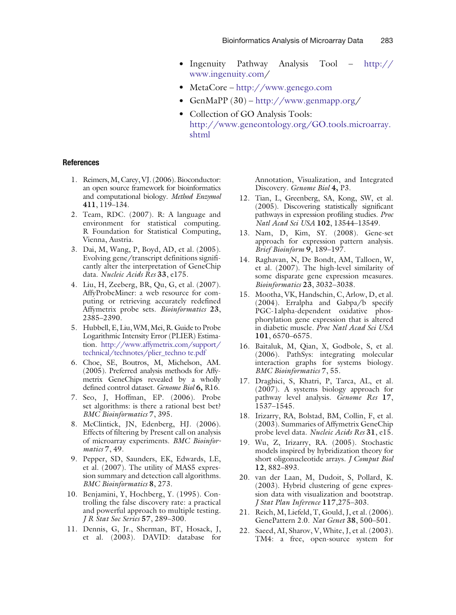- Ingenuity Pathway Analysis Tool  $http://$ www.ingenuity.com/
- $\bullet$  MetaCore http://www.genego.com
- GenMaPP  $(30)$  $(30)$  http://www.genmapp.org/
- Collection of GO Analysis Tools: http://www.geneontology.org/GO.tools.microarray. shtml

#### References

- 1. Reimers,M, Carey, VJ. (2006). Bioconductor: an open source framework for bioinformatics and computational biology. Method Enzymol 411, 119–134.
- 2. Team, RDC. (2007). R: A language and environment for statistical computing. R Foundation for Statistical Computing, Vienna, Austria.
- 3. Dai, M, Wang, P, Boyd, AD, et al. (2005). Evolving gene/transcript definitions significantly alter the interpretation of GeneChip data. Nucleic Acids Res 33, e175.
- 4. Liu, H, Zeeberg, BR, Qu, G, et al. (2007). AffyProbeMiner: a web resource for computing or retrieving accurately redefined Affymetrix probe sets. Bioinformatics 23, 2385–2390.
- 5. Hubbell, E, Liu, WM, Mei, R. Guide to Probe Logarithmic Intensity Error (PLIER) Estimation. http://www.affymetrix.com/support/ technical/technotes/plier\_techno te.pdf
- 6. Choe, SE, Boutros, M, Michelson, AM. (2005). Preferred analysis methods for Affymetrix GeneChips revealed by a wholly defined control dataset. Genome Biol 6, R16.
- 7. Seo, J, Hoffman, EP. (2006). Probe set algorithms: is there a rational best bet? BMC Bioinformatics 7, 395.
- 8. McClintick, JN, Edenberg, HJ. (2006). Effects of filtering by Present call on analysis of microarray experiments. BMC Bioinformatics 7, 49.
- 9. Pepper, SD, Saunders, EK, Edwards, LE, et al. (2007). The utility of MAS5 expression summary and detection call algorithms. BMC Bioinformatics 8, 273.
- 10. Benjamini, Y, Hochberg, Y. (1995). Controlling the false discovery rate: a practical and powerful approach to multiple testing. J R Stat Soc Series 57, 289–300.
- <span id="page-24-0"></span>11. Dennis, G, Jr., Sherman, BT, Hosack, J, et al. (2003). DAVID: database for

Annotation, Visualization, and Integrated Discovery. Genome Biol 4, P3.

- 12. Tian, L, Greenberg, SA, Kong, SW, et al. (2005). Discovering statistically significant pathways in expression profiling studies. Proc Natl Acad Sci USA 102, 13544–13549.
- 13. Nam, D, Kim, SY. (2008). Gene-set approach for expression pattern analysis. Brief Bioinform 9, 189–197.
- 14. Raghavan, N, De Bondt, AM, Talloen, W, et al. (2007). The high-level similarity of some disparate gene expression measures. Bioinformatics 23, 3032–3038.
- 15. Mootha, VK, Handschin, C, Arlow, D, et al. (2004). Erralpha and Gabpa/b specify PGC-1alpha-dependent oxidative phosphorylation gene expression that is altered in diabetic muscle. Proc Natl Acad Sci USA 101, 6570–6575.
- 16. Baitaluk, M, Qian, X, Godbole, S, et al. (2006). PathSys: integrating molecular interaction graphs for systems biology. BMC Bioinformatics 7, 55.
- 17. Draghici, S, Khatri, P, Tarca, AL, et al. (2007). A systems biology approach for pathway level analysis. Genome Res 17, 1537–1545.
- 18. Irizarry, RA, Bolstad, BM, Collin, F, et al. (2003). Summaries of Affymetrix GeneChip probe level data. Nucleic Acids Res 31, e15.
- 19. Wu, Z, Irizarry, RA. (2005). Stochastic models inspired by hybridization theory for short oligonucleotide arrays. J Comput Biol 12, 882–893.
- 20. van der Laan, M, Dudoit, S, Pollard, K. (2003). Hybrid clustering of gene expression data with visualization and bootstrap. J Stat Plan Inference 117,275–303.
- 21. Reich, M, Liefeld, T, Gould, J, et al. (2006). GenePattern 2.0. Nat Genet 38, 500–501.
- 22. Saeed, AI, Sharov, V, White, J, et al. (2003). TM4: a free, open-source system for